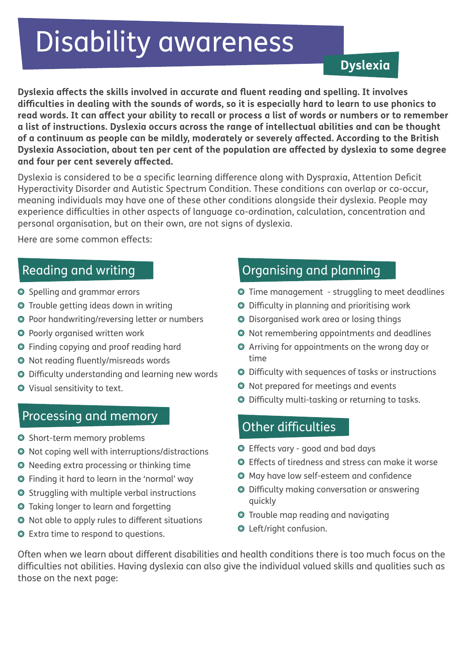# Disability awareness

#### **Dyslexia**

**Dyslexia affects the skills involved in accurate and fluent reading and spelling. It involves difficulties in dealing with the sounds of words, so it is especially hard to learn to use phonics to read words. It can affect your ability to recall or process a list of words or numbers or to remember a list of instructions. Dyslexia occurs across the range of intellectual abilities and can be thought of a continuum as people can be mildly, moderately or severely affected. According to the British Dyslexia Association, about ten per cent of the population are affected by dyslexia to some degree and four per cent severely affected.** 

Dyslexia is considered to be a specific learning difference along with Dyspraxia, Attention Deficit Hyperactivity Disorder and Autistic Spectrum Condition. These conditions can overlap or co-occur, meaning individuals may have one of these other conditions alongside their dyslexia. People may experience difficulties in other aspects of language co-ordination, calculation, concentration and personal organisation, but on their own, are not signs of dyslexia.

Here are some common effects:

#### Reading and writing

- Spelling and grammar errors
- Trouble getting ideas down in writing
- Poor handwriting/reversing letter or numbers
- Poorly organised written work
- Finding copying and proof reading hard
- Not reading fluently/misreads words
- Difficulty understanding and learning new words
- Visual sensitivity to text.

#### Processing and memory

- $\odot$  Short-term memory problems
- $\odot$  Not coping well with interruptions/distractions
- Needing extra processing or thinking time
- Finding it hard to learn in the 'normal' way
- $\odot$  Struggling with multiple verbal instructions
- Taking longer to learn and forgetting
- Not able to apply rules to different situations
- Extra time to respond to questions.

## Organising and planning

- Time management struggling to meet deadlines
- Difficulty in planning and prioritising work
- Disorganised work area or losing things
- Not remembering appointments and deadlines
- Arriving for appointments on the wrong day or time
- Difficulty with sequences of tasks or instructions
- Not prepared for meetings and events
- Difficulty multi-tasking or returning to tasks.

## Other difficulties

- Effects vary good and bad days
- Effects of tiredness and stress can make it worse
- May have low self-esteem and confidence
- Difficulty making conversation or answering quickly
- Trouble map reading and navigating
- Left/right confusion.

Often when we learn about different disabilities and health conditions there is too much focus on the difficulties not abilities. Having dyslexia can also give the individual valued skills and qualities such as those on the next page: